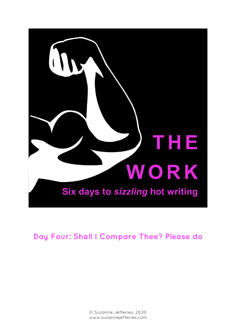

# **Day Four: Shall I Compare Thee? Please do**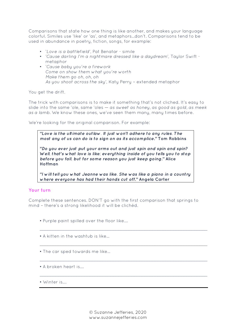Comparisons that state how one thing is like another, and makes your language colorful. Similes use 'like' or 'as', and metaphors…don't. Comparisons tend to be used in abundance in poetry, fiction, songs, for example:

- *'Love is a battlefield'*, Pat Benatar simile
- *'Cause darling I'm a nightmare dressed like a daydream'*, Taylor Swift metaphor
- *'Cause baby you're a firework Come on show them what you're worth Make them go oh, oh, oh As you shoot across the sky'*, Katy Perry – extended metaphor

You get the drift.

The trick with comparisons is to make it something that's not cliched. It's easy to slide into the same 'ole, same 'oles — *as sweet as honey, as good as gold, as meek as a lamb*. We know these ones, we've seen them many, many times before.

We're looking for the original comparison. For example:

*"Love is the ultimate outlaw. It just won't adhere to any rules. The most any of us can do is to sign on as its accomplice***." Tom Robbins**

*"Do you ever just put your arms out and just spin and spin and spin? Well, that's what love is like; everything inside of you tells you to stop before you fall, but for some reason you just keep going***." Alice Hoffman** 

*"I will tell you what Jeanne was like. She was like a piano in a country where everyone has had their hands cut off***." Angela Carter**

## **Your turn**

Complete these sentences. DON'T go with the first comparison that springs to mind – there's a strong likelihood it will be clichéd.

\_\_\_\_\_\_\_\_\_\_\_\_\_\_\_\_\_\_\_\_\_\_\_\_\_\_\_\_\_\_\_\_\_\_\_\_\_\_\_\_\_\_\_\_\_\_\_\_\_\_\_\_\_\_\_\_\_\_\_\_\_\_\_\_

\_\_\_\_\_\_\_\_\_\_\_\_\_\_\_\_\_\_\_\_\_\_\_\_\_\_\_\_\_\_\_\_\_\_\_\_\_\_\_\_\_\_\_\_\_\_\_\_\_\_\_\_\_\_\_\_\_\_\_\_\_\_\_\_

\_\_\_\_\_\_\_\_\_\_\_\_\_\_\_\_\_\_\_\_\_\_\_\_\_\_\_\_\_\_\_\_\_\_\_\_\_\_\_\_\_\_\_\_\_\_\_\_\_\_\_\_\_\_\_\_\_\_\_\_\_\_\_\_

\_\_\_\_\_\_\_\_\_\_\_\_\_\_\_\_\_\_\_\_\_\_\_\_\_\_\_\_\_\_\_\_\_\_\_\_\_\_\_\_\_\_\_\_\_\_\_\_\_\_\_\_\_\_\_\_\_\_\_\_\_\_\_\_

- Purple paint spilled over the floor like….
- A kitten in the washtub is like…
- The car sped towards me like…
- A broken heart is….
- Winter is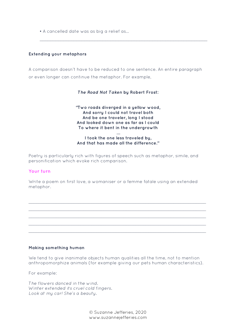• A cancelled date was as big a relief as…

#### **Extending your metaphors**

A comparison doesn't have to be reduced to one sentence. An entire paragraph or even longer can continue the metaphor. For example,

\_\_\_\_\_\_\_\_\_\_\_\_\_\_\_\_\_\_\_\_\_\_\_\_\_\_\_\_\_\_\_\_\_\_\_\_\_\_\_\_\_\_\_\_\_\_\_\_\_\_\_\_\_\_\_\_\_\_\_\_\_\_\_\_

#### *The Road Not Taken* **by Robert Frost:**

#### **"Two roads diverged in a yellow wood, And sorry I could not travel both And be one traveler, long I stood And looked down one as far as I could To where it bent in the undergrowth …**

### **I took the one less traveled by, And that has made all the difference."**

Poetry is particularly rich with figures of speech such as metaphor, simile, and personification which evoke rich comparison.

#### **Your turn**

Write a poem on first love, a womaniser or a femme fatale using an extended metaphor.

*\_\_\_\_\_\_\_\_\_\_\_\_\_\_\_\_\_\_\_\_\_\_\_\_\_\_\_\_\_\_\_\_\_\_\_\_\_\_\_\_\_\_\_\_\_\_\_\_\_\_\_\_\_\_\_\_\_\_\_\_\_\_\_\_\_\_\_\_\_\_\_ \_\_\_\_\_\_\_\_\_\_\_\_\_\_\_\_\_\_\_\_\_\_\_\_\_\_\_\_\_\_\_\_\_\_\_\_\_\_\_\_\_\_\_\_\_\_\_\_\_\_\_\_\_\_\_\_\_\_\_\_\_\_\_\_\_\_\_\_\_\_\_ \_\_\_\_\_\_\_\_\_\_\_\_\_\_\_\_\_\_\_\_\_\_\_\_\_\_\_\_\_\_\_\_\_\_\_\_\_\_\_\_\_\_\_\_\_\_\_\_\_\_\_\_\_\_\_\_\_\_\_\_\_\_\_\_\_\_\_\_\_\_\_ \_\_\_\_\_\_\_\_\_\_\_\_\_\_\_\_\_\_\_\_\_\_\_\_\_\_\_\_\_\_\_\_\_\_\_\_\_\_\_\_\_\_\_\_\_\_\_\_\_\_\_\_\_\_\_\_\_\_\_\_\_\_\_\_\_\_\_\_\_\_\_ \_\_\_\_\_\_\_\_\_\_\_\_\_\_\_\_\_\_\_\_\_\_\_\_\_\_\_\_\_\_\_\_\_\_\_\_\_\_\_\_\_\_\_\_\_\_\_\_\_\_\_\_\_\_\_\_\_\_\_\_\_\_\_\_\_\_\_\_\_\_\_*

#### **Making something human**

We tend to give inanimate objects human qualities all the time, not to mention anthropomorphize animals (for example giving our pets human characteristics).

For example:

*The flowers danced in the wind. Winter extended its cruel cold fingers. Look at my car! She's a beauty.* 

> © Suzanne Jefferies, 2020 www.suzannejefferies.com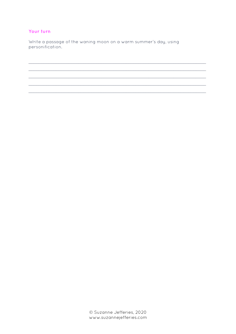## Your turn

Write a passage of the waning moon on a warm summer's day, using personification.